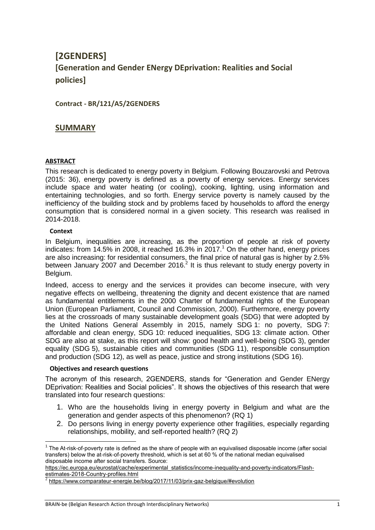# **[2GENDERS] [Generation and Gender ENergy DEprivation: Realities and Social policies]**

**Contract - BR/121/A5/2GENDERS**

## **SUMMARY**

#### **ABSTRACT**

This research is dedicated to energy poverty in Belgium. Following Bouzarovski and Petrova (2015: 36), energy poverty is defined as a poverty of energy services. Energy services include space and water heating (or cooling), cooking, lighting, using information and entertaining technologies, and so forth. Energy service poverty is namely caused by the inefficiency of the building stock and by problems faced by households to afford the energy consumption that is considered normal in a given society. This research was realised in 2014-2018.

#### **Context**

**.** 

In Belgium, inequalities are increasing, as the proportion of people at risk of poverty indicates: from 14.5% in 2008, it reached 16.3% in 2017.<sup>1</sup> On the other hand, energy prices are also increasing: for residential consumers, the final price of natural gas is higher by 2.5% between January 2007 and December 2016. $^2$  It is thus relevant to study energy poverty in Belgium.

Indeed, access to energy and the services it provides can become insecure, with very negative effects on wellbeing, threatening the dignity and decent existence that are named as fundamental entitlements in the 2000 Charter of fundamental rights of the European Union (European Parliament, Council and Commission, 2000). Furthermore, energy poverty lies at the crossroads of many sustainable development goals (SDG) that were adopted by the United Nations General Assembly in 2015, namely SDG 1: no poverty, SDG 7: affordable and clean energy, SDG 10: reduced inequalities, SDG 13: climate action. Other SDG are also at stake, as this report will show: good health and well-being (SDG 3), gender equality (SDG 5), sustainable cities and communities (SDG 11), responsible consumption and production (SDG 12), as well as peace, justice and strong institutions (SDG 16).

#### **Objectives and research questions**

The acronym of this research, 2GENDERS, stands for "Generation and Gender ENergy DEprivation: Realities and Social policies". It shows the objectives of this research that were translated into four research questions:

- 1. Who are the households living in energy poverty in Belgium and what are the generation and gender aspects of this phenomenon? (RQ 1)
- 2. Do persons living in energy poverty experience other fragilities, especially regarding relationships, mobility, and self-reported health? (RQ 2)

[https://ec.europa.eu/eurostat/cache/experimental\\_statistics/income-inequality-and-poverty-indicators/Flash](https://ec.europa.eu/eurostat/cache/experimental_statistics/income-inequality-and-poverty-indicators/Flash-estimates-2018-Country-profiles.html)[estimates-2018-Country-profiles.html](https://ec.europa.eu/eurostat/cache/experimental_statistics/income-inequality-and-poverty-indicators/Flash-estimates-2018-Country-profiles.html)<br>2 https://www.comporatour.cporaio.html

 $^{\text{1}}$  The At-risk-of-poverty rate is defined as the share of people with an equivalised disposable income (after social transfers) below the at-risk-of-poverty threshold, which is set at 60 % of the national median equivalised disposable income after social transfers. Source:

<https://www.comparateur-energie.be/blog/2017/11/03/prix-gaz-belgique/#evolution>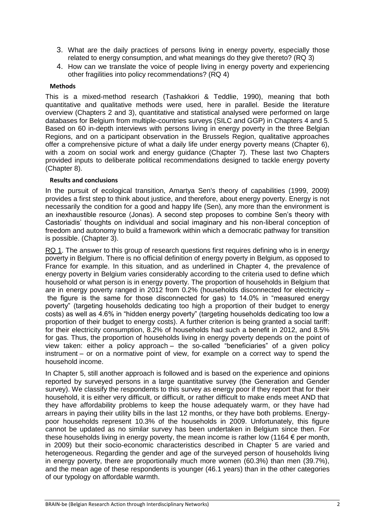- 3. What are the daily practices of persons living in energy poverty, especially those related to energy consumption, and what meanings do they give thereto? (RQ 3)
- 4. How can we translate the voice of people living in energy poverty and experiencing other fragilities into policy recommendations? (RQ 4)

#### **Methods**

This is a mixed-method research (Tashakkori & Teddlie, 1990), meaning that both quantitative and qualitative methods were used, here in parallel. Beside the literature overview (Chapters 2 and 3), quantitative and statistical analysed were performed on large databases for Belgium from multiple-countries surveys (SILC and GGP) in Chapters 4 and 5. Based on 60 in-depth interviews with persons living in energy poverty in the three Belgian Regions, and on a participant observation in the Brussels Region, qualitative approaches offer a comprehensive picture of what a daily life under energy poverty means (Chapter 6), with a zoom on social work and energy guidance (Chapter 7). These last two Chapters provided inputs to deliberate political recommendations designed to tackle energy poverty (Chapter 8).

### **Results and conclusions**

In the pursuit of ecological transition, Amartya Sen's theory of capabilities (1999, 2009) provides a first step to think about justice, and therefore, about energy poverty. Energy is not necessarily the condition for a good and happy life (Sen), any more than the environment is an inexhaustible resource (Jonas). A second step proposes to combine Sen's theory with Castoriadis' thoughts on individual and social imaginary and his non-liberal conception of freedom and autonomy to build a framework within which a democratic pathway for transition is possible. (Chapter 3).

RQ 1. The answer to this group of research questions first requires defining who is in energy poverty in Belgium. There is no official definition of energy poverty in Belgium, as opposed to France for example. In this situation, and as underlined in Chapter 4, the prevalence of energy poverty in Belgium varies considerably according to the criteria used to define which household or what person is in energy poverty. The proportion of households in Belgium that are in energy poverty ranged in 2012 from 0.2% (households disconnected for electricity – the figure is the same for those disconnected for gas) to 14.0% in "measured energy poverty" (targeting households dedicating too high a proportion of their budget to energy costs) as well as 4.6% in "hidden energy poverty" (targeting households dedicating too low a proportion of their budget to energy costs). A further criterion is being granted a social tariff: for their electricity consumption, 8.2% of households had such a benefit in 2012, and 8.5% for gas. Thus, the proportion of households living in energy poverty depends on the point of view taken: either a policy approach – the so-called "beneficiaries" of a given policy instrument – or on a normative point of view, for example on a correct way to spend the household income.

In Chapter 5, still another approach is followed and is based on the experience and opinions reported by surveyed persons in a large quantitative survey (the Generation and Gender survey). We classify the respondents to this survey as energy poor if they report that for their household, it is either very difficult, or difficult, or rather difficult to make ends meet AND that they have affordability problems to keep the house adequately warm, or they have had arrears in paying their utility bills in the last 12 months, or they have both problems. Energypoor households represent 10.3% of the households in 2009. Unfortunately, this figure cannot be updated as no similar survey has been undertaken in Belgium since then. For these households living in energy poverty, the mean income is rather low (1164  $\epsilon$  per month, in 2009) but their socio-economic characteristics described in Chapter 5 are varied and heterogeneous. Regarding the gender and age of the surveyed person of households living in energy poverty, there are proportionally much more women (60.3%) than men (39.7%), and the mean age of these respondents is younger (46.1 years) than in the other categories of our typology on affordable warmth.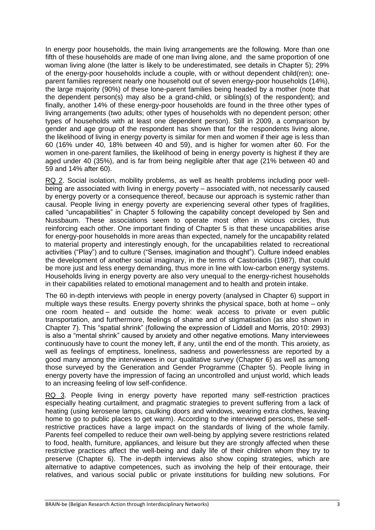In energy poor households, the main living arrangements are the following. More than one fifth of these households are made of one man living alone, and the same proportion of one woman living alone (the latter is likely to be underestimated, see details in Chapter 5); 29% of the energy-poor households include a couple, with or without dependent child(ren); oneparent families represent nearly one household out of seven energy-poor households (14%), the large majority (90%) of these lone-parent families being headed by a mother (note that the dependent person(s) may also be a grand-child, or sibling(s) of the respondent); and finally, another 14% of these energy-poor households are found in the three other types of living arrangements (two adults; other types of households with no dependent person; other types of households with at least one dependent person). Still in 2009, a comparison by gender and age group of the respondent has shown that for the respondents living alone, the likelihood of living in energy poverty is similar for men and women if their age is less than 60 (16% under 40, 18% between 40 and 59), and is higher for women after 60. For the women in one-parent families, the likelihood of being in energy poverty is highest if they are aged under 40 (35%), and is far from being negligible after that age (21% between 40 and 59 and 14% after 60).

RQ 2. Social isolation, mobility problems, as well as health problems including poor wellbeing are associated with living in energy poverty – associated with, not necessarily caused by energy poverty or a consequence thereof, because our approach is systemic rather than causal. People living in energy poverty are experiencing several other types of fragilities, called "uncapabilities" in Chapter 5 following the capability concept developed by Sen and Nussbaum. These associations seem to operate most often in vicious circles, thus reinforcing each other. One important finding of Chapter 5 is that these uncapabilities arise for energy-poor households in more areas than expected, namely for the uncapability related to material property and interestingly enough, for the uncapabilities related to recreational activities ("Play") and to culture ("Senses, imagination and thought"). Culture indeed enables the development of another social imaginary, in the terms of Castoriadis (1987), that could be more just and less energy demanding, thus more in line with low-carbon energy systems. Households living in energy poverty are also very unequal to the energy-richest households in their capabilities related to emotional management and to health and protein intake.

The 60 in-depth interviews with people in energy poverty (analysed in Chapter 6) support in multiple ways these results. Energy poverty shrinks the physical space, both at home – only one room heated – and outside the home: weak access to private or even public transportation, and furthermore, feelings of shame and of stigmatisation (as also shown in Chapter 7). This "spatial shrink" (following the expression of Liddell and Morris, 2010: 2993) is also a "mental shrink" caused by anxiety and other negative emotions. Many interviewees continuously have to count the money left, if any, until the end of the month. This anxiety, as well as feelings of emptiness, loneliness, sadness and powerlessness are reported by a good many among the interviewees in our qualitative survey (Chapter 6) as well as among those surveyed by the Generation and Gender Programme (Chapter 5). People living in energy poverty have the impression of facing an uncontrolled and unjust world, which leads to an increasing feeling of low self-confidence.

RQ 3. People living in energy poverty have reported many self-restriction practices especially heating curtailment, and pragmatic strategies to prevent suffering from a lack of heating (using kerosene lamps, caulking doors and windows, wearing extra clothes, leaving home to go to public places to get warm). According to the interviewed persons, these selfrestrictive practices have a large impact on the standards of living of the whole family. Parents feel compelled to reduce their own well-being by applying severe restrictions related to food, health, furniture, appliances, and leisure but they are strongly affected when these restrictive practices affect the well-being and daily life of their children whom they try to preserve (Chapter 6). The in-depth interviews also show coping strategies, which are alternative to adaptive competences, such as involving the help of their entourage, their relatives, and various social public or private institutions for building new solutions. For